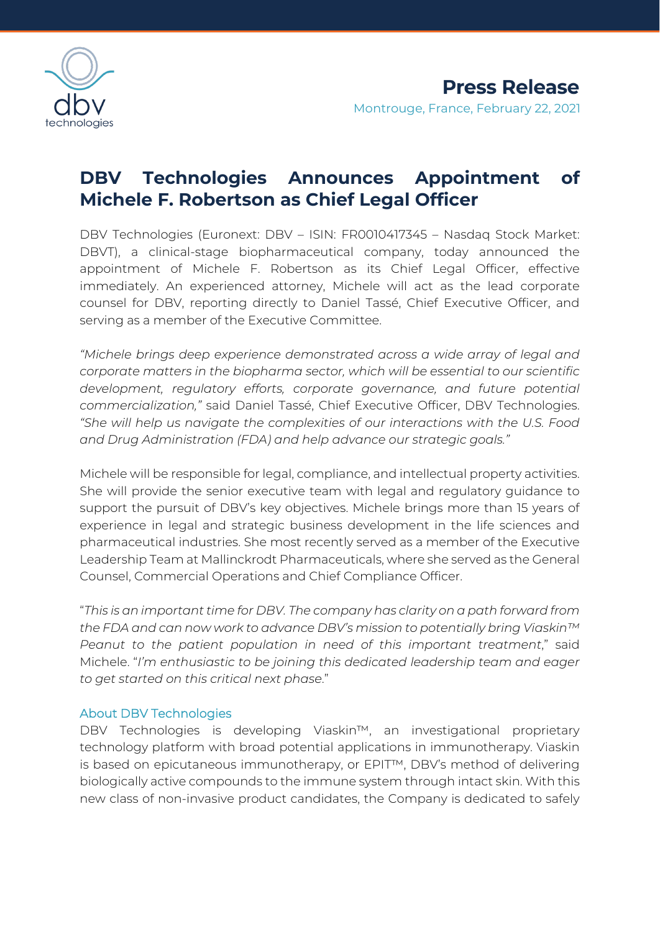

## **DBV Technologies Announces Appointment of Michele F. Robertson as Chief Legal Officer**

DBV Technologies (Euronext: DBV – ISIN: FR0010417345 – Nasdaq Stock Market: DBVT), a clinical-stage biopharmaceutical company, today announced the appointment of Michele F. Robertson as its Chief Legal Officer, effective immediately. An experienced attorney, Michele will act as the lead corporate counsel for DBV, reporting directly to Daniel Tassé, Chief Executive Officer, and serving as a member of the Executive Committee.

*"Michele brings deep experience demonstrated across a wide array of legal and corporate matters in the biopharma sector, which will be essential to our scientific development, regulatory efforts, corporate governance, and future potential commercialization,"* said Daniel Tassé, Chief Executive Officer, DBV Technologies. *"She will help us navigate the complexities of our interactions with the U.S. Food and Drug Administration (FDA) and help advance our strategic goals."*

Michele will be responsible for legal, compliance, and intellectual property activities. She will provide the senior executive team with legal and regulatory guidance to support the pursuit of DBV's key objectives. Michele brings more than 15 years of experience in legal and strategic business development in the life sciences and pharmaceutical industries. She most recently served as a member of the Executive Leadership Team at Mallinckrodt Pharmaceuticals, where she served as the General Counsel, Commercial Operations and Chief Compliance Officer.

"*This is an important time for DBV. The company has clarity on a path forward from the FDA and can now work to advance DBV's mission to potentially bring Viaskin™ Peanut to the patient population in need of this important treatment*," said Michele. "*I'm enthusiastic to be joining this dedicated leadership team and eager to get started on this critical next phase*."

## About DBV Technologies

DBV Technologies is developing Viaskin™, an investigational proprietary technology platform with broad potential applications in immunotherapy. Viaskin is based on epicutaneous immunotherapy, or EPIT™, DBV's method of delivering biologically active compounds to the immune system through intact skin. With this new class of non-invasive product candidates, the Company is dedicated to safely